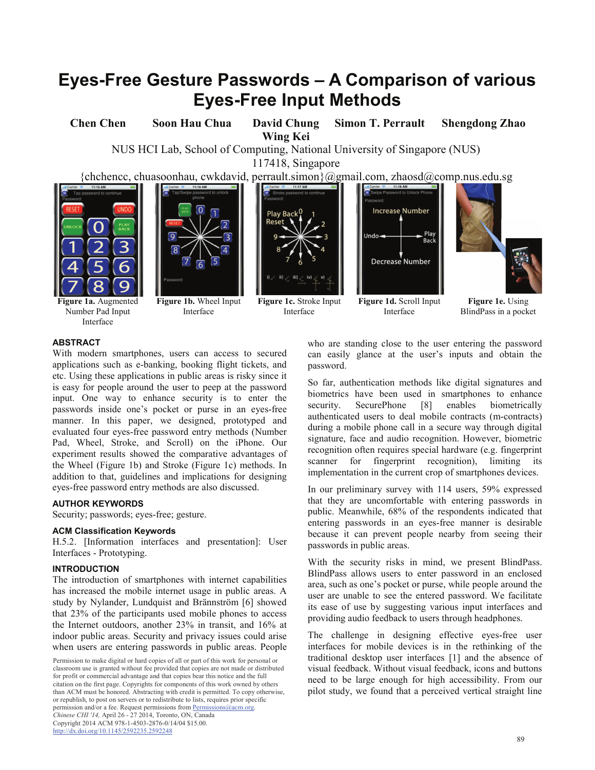# **Eyes-Free Gesture Passwords – A Comparison of various Eyes-Free Input Methods**

**Chen Chen Soon Hau Chua David Chung Wing Kei Simon T. Perrault Shengdong Zhao** 

NUS HCI Lab, School of Computing, National University of Singapore (NUS)

117418, Singapore

{chchencc, chuasoonhau, cwkdavid, perrault.simon}@gmail.com, zhaosd@comp.nus.edu.sg





**Figure 1a.** Augmented Number Pad Input Interface

**Figure 1b.** Wheel Input Interface



**Figure 1c.** Stroke Input Interface





**Figure 1d.** Scroll Input Interface

**Figure 1e.** Using BlindPass in a pocket

# **ABSTRACT**

With modern smartphones, users can access to secured applications such as e-banking, booking flight tickets, and etc. Using these applications in public areas is risky since it is easy for people around the user to peep at the password input. One way to enhance security is to enter the passwords inside one's pocket or purse in an eyes-free manner. In this paper, we designed, prototyped and evaluated four eyes-free password entry methods (Number Pad, Wheel, Stroke, and Scroll) on the iPhone. Our experiment results showed the comparative advantages of the Wheel (Figure 1b) and Stroke (Figure 1c) methods. In addition to that, guidelines and implications for designing eyes-free password entry methods are also discussed.

## **AUTHOR KEYWORDS**

Security; passwords; eyes-free; gesture.

## **ACM Classification Keywords**

H.5.2. [Information interfaces and presentation]: User Interfaces - Prototyping.

# **INTRODUCTION**

The introduction of smartphones with internet capabilities has increased the mobile internet usage in public areas. A study by Nylander, Lundquist and Brännström [6] showed that 23% of the participants used mobile phones to access the Internet outdoors, another 23% in transit, and 16% at indoor public areas. Security and privacy issues could arise when users are entering passwords in public areas. People

who are standing close to the user entering the password can easily glance at the user's inputs and obtain the password.

So far, authentication methods like digital signatures and biometrics have been used in smartphones to enhance security. SecurePhone [8] enables biometrically authenticated users to deal mobile contracts (m-contracts) during a mobile phone call in a secure way through digital signature, face and audio recognition. However, biometric recognition often requires special hardware (e.g. fingerprint scanner for fingerprint recognition), limiting its implementation in the current crop of smartphones devices.

In our preliminary survey with 114 users, 59% expressed that they are uncomfortable with entering passwords in public. Meanwhile, 68% of the respondents indicated that entering passwords in an eyes-free manner is desirable because it can prevent people nearby from seeing their passwords in public areas.

With the security risks in mind, we present BlindPass. BlindPass allows users to enter password in an enclosed area, such as one's pocket or purse, while people around the user are unable to see the entered password. We facilitate its ease of use by suggesting various input interfaces and providing audio feedback to users through headphones.

The challenge in designing effective eyes-free user interfaces for mobile devices is in the rethinking of the traditional desktop user interfaces [1] and the absence of visual feedback. Without visual feedback, icons and buttons need to be large enough for high accessibility. From our pilot study, we found that a perceived vertical straight line

Permission to make digital or hard copies of all or part of this work for personal or classroom use is granted without fee provided that copies are not made or distributed for profit or commercial advantage and that copies bear this notice and the full citation on the first page. Copyrights for components of this work owned by others than ACM must be honored. Abstracting with credit is permitted. To copy otherwise, or republish, to post on servers or to redistribute to lists, requires prior specific permission and/or a fee. Request permissions from Permissions@acm.org. *Chinese CHI '14,* April 26 - 27 2014, Toronto, ON, Canada Copyright 2014 ACM 978-1-4503-2876-0/14/04 \$15.00. http://dx.doi.org/10.1145/2592235.2592248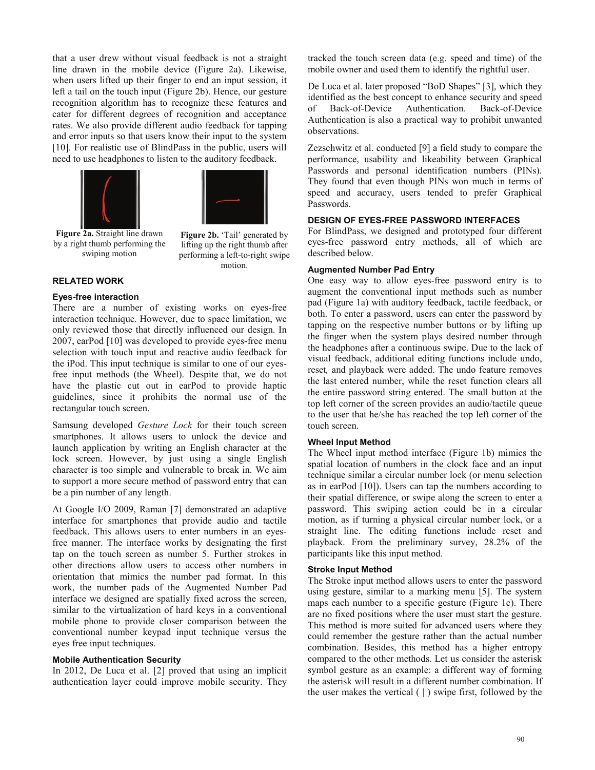that a user drew without visual feedback is not a straight line drawn in the mobile device (Figure 2a). Likewise, when users lifted up their finger to end an input session, it left a tail on the touch input (Figure 2b). Hence, our gesture recognition algorithm has to recognize these features and cater for different degrees of recognition and acceptance rates. We also provide different audio feedback for tapping and error inputs so that users know their input to the system [10]. For realistic use of BlindPass in the public, users will need to use headphones to listen to the auditory feedback.





**Figure 2a.** Straight line drawn by a right thumb performing the swiping motion

Figure 2b. 'Tail' generated by lifting up the right thumb after performing a left-to-right swipe motion.

# **RELATED WORK**

#### **Eyes-free interaction**

There are a number of existing works on eyes-free interaction technique. However, due to space limitation, we only reviewed those that directly influenced our design. In 2007, earPod [10] was developed to provide eyes-free menu selection with touch input and reactive audio feedback for the iPod. This input technique is similar to one of our eyesfree input methods (the Wheel). Despite that, we do not have the plastic cut out in earPod to provide haptic guidelines, since it prohibits the normal use of the rectangular touch screen.

Samsung developed *Gesture Lock* for their touch screen smartphones. It allows users to unlock the device and launch application by writing an English character at the lock screen. However, by just using a single English character is too simple and vulnerable to break in. We aim to support a more secure method of password entry that can be a pin number of any length.

At Google I/O 2009, Raman [7] demonstrated an adaptive interface for smartphones that provide audio and tactile feedback. This allows users to enter numbers in an eyesfree manner. The interface works by designating the first tap on the touch screen as number 5. Further strokes in other directions allow users to access other numbers in orientation that mimics the number pad format. In this work, the number pads of the Augmented Number Pad interface we designed are spatially fixed across the screen, similar to the virtualization of hard keys in a conventional mobile phone to provide closer comparison between the conventional number keypad input technique versus the eyes free input techniques.

#### **Mobile Authentication Security**

In 2012, De Luca et al. [2] proved that using an implicit authentication layer could improve mobile security. They tracked the touch screen data (e.g. speed and time) of the mobile owner and used them to identify the rightful user.

De Luca et al. later proposed "BoD Shapes" [3], which they identified as the best concept to enhance security and speed of Back-of-Device Authentication. Back-of-Device Authentication is also a practical way to prohibit unwanted observations.

Zezschwitz et al. conducted [9] a field study to compare the performance, usability and likeability between Graphical Passwords and personal identification numbers (PINs). They found that even though PINs won much in terms of speed and accuracy, users tended to prefer Graphical Passwords.

## **DESIGN OF EYES-FREE PASSWORD INTERFACES**

For BlindPass, we designed and prototyped four different eyes-free password entry methods, all of which are described below.

#### **Augmented Number Pad Entry**

One easy way to allow eyes-free password entry is to augment the conventional input methods such as number pad (Figure 1a) with auditory feedback, tactile feedback, or both. To enter a password, users can enter the password by tapping on the respective number buttons or by lifting up the finger when the system plays desired number through the headphones after a continuous swipe. Due to the lack of visual feedback, additional editing functions include undo, reset*,* and playback were added. The undo feature removes the last entered number, while the reset function clears all the entire password string entered. The small button at the top left corner of the screen provides an audio/tactile queue to the user that he/she has reached the top left corner of the touch screen.

#### **Wheel Input Method**

The Wheel input method interface (Figure 1b) mimics the spatial location of numbers in the clock face and an input technique similar a circular number lock (or menu selection as in earPod [10]). Users can tap the numbers according to their spatial difference, or swipe along the screen to enter a password. This swiping action could be in a circular motion, as if turning a physical circular number lock, or a straight line. The editing functions include reset and playback. From the preliminary survey, 28.2% of the participants like this input method.

#### **Stroke Input Method**

The Stroke input method allows users to enter the password using gesture, similar to a marking menu [5]. The system maps each number to a specific gesture (Figure 1c). There are no fixed positions where the user must start the gesture. This method is more suited for advanced users where they could remember the gesture rather than the actual number combination. Besides, this method has a higher entropy compared to the other methods. Let us consider the asterisk symbol gesture as an example: a different way of forming the asterisk will result in a different number combination. If the user makes the vertical  $( )$  swipe first, followed by the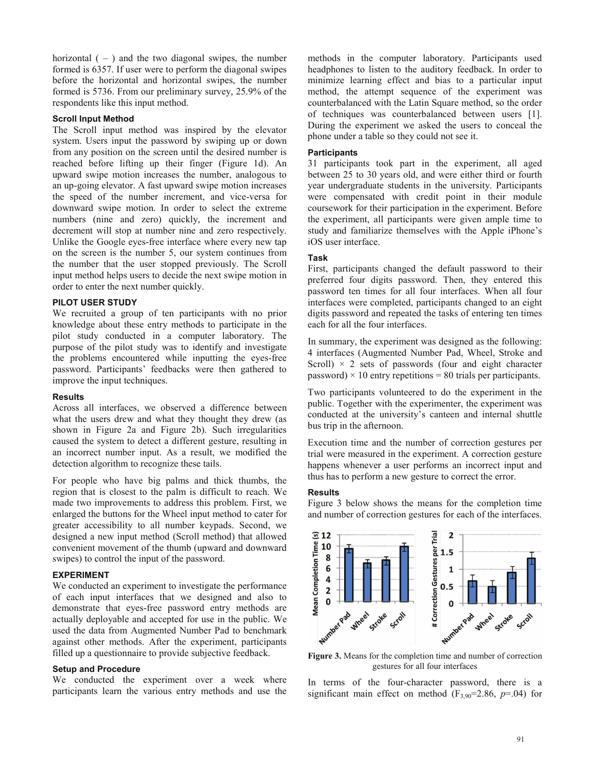horizontal  $(-)$  and the two diagonal swipes, the number formed is 6357. If user were to perform the diagonal swipes before the horizontal and horizontal swipes, the number formed is 5736. From our preliminary survey, 25.9% of the respondents like this input method.

# **Scroll Input Method**

The Scroll input method was inspired by the elevator system. Users input the password by swiping up or down from any position on the screen until the desired number is reached before lifting up their finger (Figure 1d). An upward swipe motion increases the number, analogous to an up-going elevator. A fast upward swipe motion increases the speed of the number increment, and vice-versa for downward swipe motion. In order to select the extreme numbers (nine and zero) quickly, the increment and decrement will stop at number nine and zero respectively. Unlike the Google eyes-free interface where every new tap on the screen is the number 5, our system continues from the number that the user stopped previously. The Scroll input method helps users to decide the next swipe motion in order to enter the next number quickly.

## **PILOT USER STUDY**

We recruited a group of ten participants with no prior knowledge about these entry methods to participate in the pilot study conducted in a computer laboratory. The purpose of the pilot study was to identify and investigate the problems encountered while inputting the eyes-free password. Participants' feedbacks were then gathered to improve the input techniques.

## **Results**

Across all interfaces, we observed a difference between what the users drew and what they thought they drew (as shown in Figure 2a and Figure 2b). Such irregularities caused the system to detect a different gesture, resulting in an incorrect number input. As a result, we modified the detection algorithm to recognize these tails.

For people who have big palms and thick thumbs, the region that is closest to the palm is difficult to reach. We made two improvements to address this problem. First, we enlarged the buttons for the Wheel input method to cater for greater accessibility to all number keypads. Second, we designed a new input method (Scroll method) that allowed convenient movement of the thumb (upward and downward swipes) to control the input of the password.

#### **EXPERIMENT**

We conducted an experiment to investigate the performance of each input interfaces that we designed and also to demonstrate that eyes-free password entry methods are actually deployable and accepted for use in the public. We used the data from Augmented Number Pad to benchmark against other methods. After the experiment, participants filled up a questionnaire to provide subjective feedback.

# **Setup and Procedure**

We conducted the experiment over a week where participants learn the various entry methods and use the

methods in the computer laboratory. Participants used headphones to listen to the auditory feedback. In order to minimize learning effect and bias to a particular input method, the attempt sequence of the experiment was counterbalanced with the Latin Square method, so the order of techniques was counterbalanced between users [1]. During the experiment we asked the users to conceal the phone under a table so they could not see it.

#### **Participants**

31 participants took part in the experiment, all aged between 25 to 30 years old, and were either third or fourth year undergraduate students in the university. Participants were compensated with credit point in their module coursework for their participation in the experiment. Before the experiment, all participants were given ample time to study and familiarize themselves with the Apple iPhone's iOS user interface.

#### **Task**

First, participants changed the default password to their preferred four digits password. Then, they entered this password ten times for all four interfaces. When all four interfaces were completed, participants changed to an eight digits password and repeated the tasks of entering ten times each for all the four interfaces.

In summary, the experiment was designed as the following: 4 interfaces (Augmented Number Pad, Wheel, Stroke and Scroll)  $\times$  2 sets of passwords (four and eight character password)  $\times$  10 entry repetitions = 80 trials per participants.

Two participants volunteered to do the experiment in the public. Together with the experimenter, the experiment was conducted at the university's canteen and internal shuttle bus trip in the afternoon.

Execution time and the number of correction gestures per trial were measured in the experiment. A correction gesture happens whenever a user performs an incorrect input and thus has to perform a new gesture to correct the error.

#### **Results**

Figure 3 below shows the means for the completion time and number of correction gestures for each of the interfaces.



**Figure 3.** Means for the completion time and number of correction gestures for all four interfaces

In terms of the four-character password, there is a significant main effect on method  $(F_{3,90}=2.86, p=.04)$  for